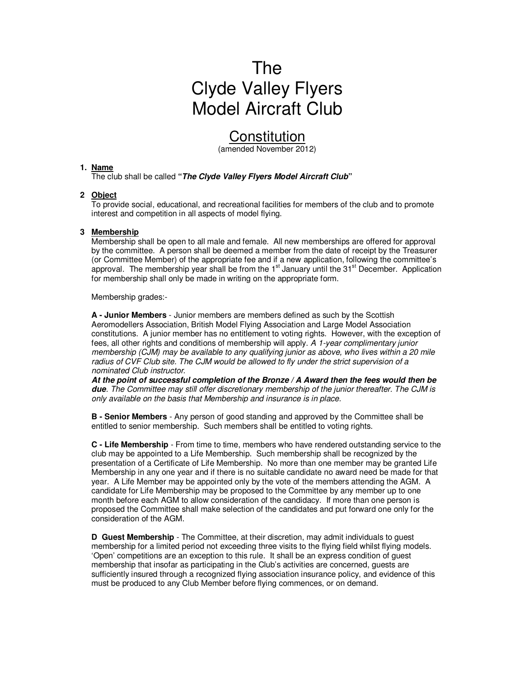# The Clyde Valley Flyers Model Aircraft Club

# **Constitution**

(amended November 2012)

#### **1. Name**

The club shall be called **"The Clyde Valley Flyers Model Aircraft Club"** 

# **2 Object**

To provide social, educational, and recreational facilities for members of the club and to promote interest and competition in all aspects of model flying.

#### **3 Membership**

Membership shall be open to all male and female. All new memberships are offered for approval by the committee. A person shall be deemed a member from the date of receipt by the Treasurer (or Committee Member) of the appropriate fee and if a new application, following the committee's approval. The membership year shall be from the  $1<sup>st</sup>$  January until the  $31<sup>st</sup>$  December. Application for membership shall only be made in writing on the appropriate form.

Membership grades:-

**A - Junior Members** - Junior members are members defined as such by the Scottish Aeromodellers Association, British Model Flying Association and Large Model Association constitutions. A junior member has no entitlement to voting rights. However, with the exception of fees, all other rights and conditions of membership will apply. A 1-year complimentary junior membership (CJM) may be available to any qualifying junior as above, who lives within a 20 mile radius of CVF Club site. The CJM would be allowed to fly under the strict supervision of a nominated Club instructor.

**At the point of successful completion of the Bronze / A Award then the fees would then be due**. The Committee may still offer discretionary membership of the junior thereafter. The CJM is only available on the basis that Membership and insurance is in place.

**B - Senior Members** - Any person of good standing and approved by the Committee shall be entitled to senior membership. Such members shall be entitled to voting rights.

**C - Life Membership** - From time to time, members who have rendered outstanding service to the club may be appointed to a Life Membership. Such membership shall be recognized by the presentation of a Certificate of Life Membership. No more than one member may be granted Life Membership in any one year and if there is no suitable candidate no award need be made for that year. A Life Member may be appointed only by the vote of the members attending the AGM. A candidate for Life Membership may be proposed to the Committee by any member up to one month before each AGM to allow consideration of the candidacy. If more than one person is proposed the Committee shall make selection of the candidates and put forward one only for the consideration of the AGM.

**D Guest Membership** - The Committee, at their discretion, may admit individuals to guest membership for a limited period not exceeding three visits to the flying field whilst flying models. 'Open' competitions are an exception to this rule. It shall be an express condition of guest membership that insofar as participating in the Club's activities are concerned, guests are sufficiently insured through a recognized flying association insurance policy, and evidence of this must be produced to any Club Member before flying commences, or on demand.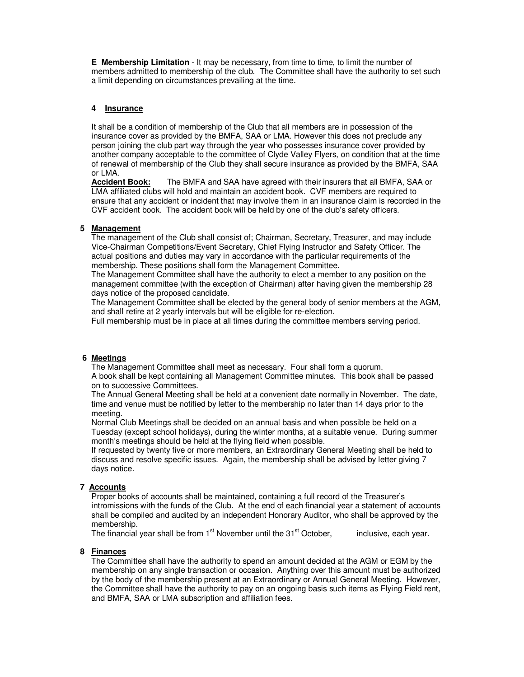**E Membership Limitation** - It may be necessary, from time to time, to limit the number of members admitted to membership of the club. The Committee shall have the authority to set such a limit depending on circumstances prevailing at the time.

# **4 Insurance**

It shall be a condition of membership of the Club that all members are in possession of the insurance cover as provided by the BMFA, SAA or LMA. However this does not preclude any person joining the club part way through the year who possesses insurance cover provided by another company acceptable to the committee of Clyde Valley Flyers, on condition that at the time of renewal of membership of the Club they shall secure insurance as provided by the BMFA, SAA or LMA.

**Accident Book:** The BMFA and SAA have agreed with their insurers that all BMFA, SAA or LMA affiliated clubs will hold and maintain an accident book. CVF members are required to ensure that any accident or incident that may involve them in an insurance claim is recorded in the CVF accident book. The accident book will be held by one of the club's safety officers.

# **5 Management**

The management of the Club shall consist of; Chairman, Secretary, Treasurer, and may include Vice-Chairman Competitions/Event Secretary, Chief Flying Instructor and Safety Officer. The actual positions and duties may vary in accordance with the particular requirements of the membership. These positions shall form the Management Committee.

The Management Committee shall have the authority to elect a member to any position on the management committee (with the exception of Chairman) after having given the membership 28 days notice of the proposed candidate.

The Management Committee shall be elected by the general body of senior members at the AGM, and shall retire at 2 yearly intervals but will be eligible for re-election.

Full membership must be in place at all times during the committee members serving period.

# **6 Meetings**

The Management Committee shall meet as necessary. Four shall form a quorum. A book shall be kept containing all Management Committee minutes. This book shall be passed on to successive Committees.

The Annual General Meeting shall be held at a convenient date normally in November. The date, time and venue must be notified by letter to the membership no later than 14 days prior to the meeting.

Normal Club Meetings shall be decided on an annual basis and when possible be held on a Tuesday (except school holidays), during the winter months, at a suitable venue. During summer month's meetings should be held at the flying field when possible.

If requested by twenty five or more members, an Extraordinary General Meeting shall be held to discuss and resolve specific issues. Again, the membership shall be advised by letter giving 7 days notice.

#### **7 Accounts**

Proper books of accounts shall be maintained, containing a full record of the Treasurer's intromissions with the funds of the Club. At the end of each financial year a statement of accounts shall be compiled and audited by an independent Honorary Auditor, who shall be approved by the membership.

The financial year shall be from  $1<sup>st</sup>$  November until the  $31<sup>st</sup>$  October, inclusive, each year.

# **8 Finances**

The Committee shall have the authority to spend an amount decided at the AGM or EGM by the membership on any single transaction or occasion. Anything over this amount must be authorized by the body of the membership present at an Extraordinary or Annual General Meeting. However, the Committee shall have the authority to pay on an ongoing basis such items as Flying Field rent, and BMFA, SAA or LMA subscription and affiliation fees.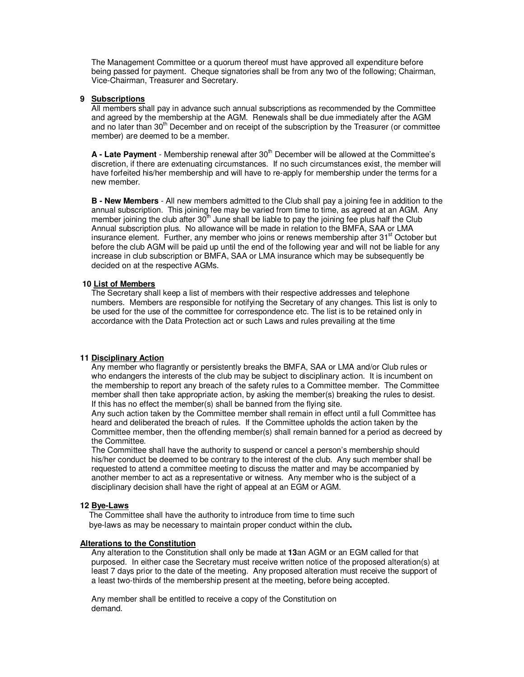The Management Committee or a quorum thereof must have approved all expenditure before being passed for payment. Cheque signatories shall be from any two of the following; Chairman, Vice-Chairman, Treasurer and Secretary.

#### **9 Subscriptions**

All members shall pay in advance such annual subscriptions as recommended by the Committee and agreed by the membership at the AGM. Renewals shall be due immediately after the AGM and no later than 30<sup>th</sup> December and on receipt of the subscription by the Treasurer (or committee member) are deemed to be a member.

A - Late Payment - Membership renewal after 30<sup>th</sup> December will be allowed at the Committee's discretion, if there are extenuating circumstances. If no such circumstances exist, the member will have forfeited his/her membership and will have to re-apply for membership under the terms for a new member.

**B - New Members** - All new members admitted to the Club shall pay a joining fee in addition to the annual subscription. This joining fee may be varied from time to time, as agreed at an AGM. Any member joining the club after  $30<sup>th</sup>$  June shall be liable to pay the joining fee plus half the Club Annual subscription plus. No allowance will be made in relation to the BMFA, SAA or LMA insurance element. Further, any member who joins or renews membership after 31<sup>st</sup> October but before the club AGM will be paid up until the end of the following year and will not be liable for any increase in club subscription or BMFA, SAA or LMA insurance which may be subsequently be decided on at the respective AGMs.

#### **10 List of Members**

The Secretary shall keep a list of members with their respective addresses and telephone numbers. Members are responsible for notifying the Secretary of any changes. This list is only to be used for the use of the committee for correspondence etc. The list is to be retained only in accordance with the Data Protection act or such Laws and rules prevailing at the time

#### **11 Disciplinary Action**

Any member who flagrantly or persistently breaks the BMFA, SAA or LMA and/or Club rules or who endangers the interests of the club may be subject to disciplinary action. It is incumbent on the membership to report any breach of the safety rules to a Committee member. The Committee member shall then take appropriate action, by asking the member(s) breaking the rules to desist. If this has no effect the member(s) shall be banned from the flying site.

Any such action taken by the Committee member shall remain in effect until a full Committee has heard and deliberated the breach of rules. If the Committee upholds the action taken by the Committee member, then the offending member(s) shall remain banned for a period as decreed by the Committee.

The Committee shall have the authority to suspend or cancel a person's membership should his/her conduct be deemed to be contrary to the interest of the club. Any such member shall be requested to attend a committee meeting to discuss the matter and may be accompanied by another member to act as a representative or witness. Any member who is the subject of a disciplinary decision shall have the right of appeal at an EGM or AGM.

#### **12 Bye-Laws**

 The Committee shall have the authority to introduce from time to time such bye-laws as may be necessary to maintain proper conduct within the club**.** 

#### **Alterations to the Constitution**

Any alteration to the Constitution shall only be made at **13**an AGM or an EGM called for that purposed. In either case the Secretary must receive written notice of the proposed alteration(s) at least 7 days prior to the date of the meeting. Any proposed alteration must receive the support of a least two-thirds of the membership present at the meeting, before being accepted.

Any member shall be entitled to receive a copy of the Constitution on demand.